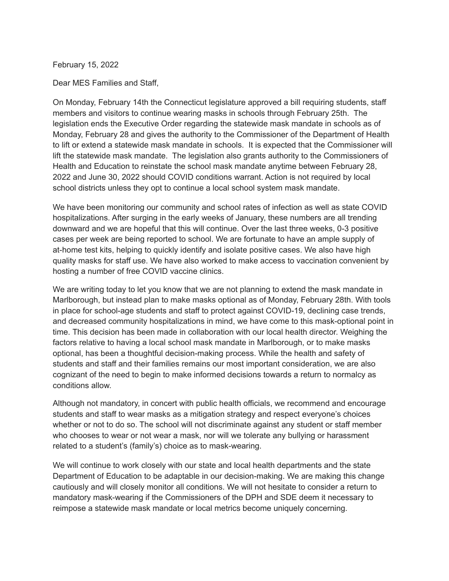February 15, 2022

Dear MES Families and Staff,

On Monday, February 14th the Connecticut legislature approved a bill requiring students, staff members and visitors to continue wearing masks in schools through February 25th. The legislation ends the Executive Order regarding the statewide mask mandate in schools as of Monday, February 28 and gives the authority to the Commissioner of the Department of Health to lift or extend a statewide mask mandate in schools. It is expected that the Commissioner will lift the statewide mask mandate. The legislation also grants authority to the Commissioners of Health and Education to reinstate the school mask mandate anytime between February 28, 2022 and June 30, 2022 should COVID conditions warrant. Action is not required by local school districts unless they opt to continue a local school system mask mandate.

We have been monitoring our community and school rates of infection as well as state COVID hospitalizations. After surging in the early weeks of January, these numbers are all trending downward and we are hopeful that this will continue. Over the last three weeks, 0-3 positive cases per week are being reported to school. We are fortunate to have an ample supply of at-home test kits, helping to quickly identify and isolate positive cases. We also have high quality masks for staff use. We have also worked to make access to vaccination convenient by hosting a number of free COVID vaccine clinics.

We are writing today to let you know that we are not planning to extend the mask mandate in Marlborough, but instead plan to make masks optional as of Monday, February 28th. With tools in place for school-age students and staff to protect against COVID-19, declining case trends, and decreased community hospitalizations in mind, we have come to this mask-optional point in time. This decision has been made in collaboration with our local health director. Weighing the factors relative to having a local school mask mandate in Marlborough, or to make masks optional, has been a thoughtful decision-making process. While the health and safety of students and staff and their families remains our most important consideration, we are also cognizant of the need to begin to make informed decisions towards a return to normalcy as conditions allow.

Although not mandatory, in concert with public health officials, we recommend and encourage students and staff to wear masks as a mitigation strategy and respect everyone's choices whether or not to do so. The school will not discriminate against any student or staff member who chooses to wear or not wear a mask, nor will we tolerate any bullying or harassment related to a student's (family's) choice as to mask-wearing.

We will continue to work closely with our state and local health departments and the state Department of Education to be adaptable in our decision-making. We are making this change cautiously and will closely monitor all conditions. We will not hesitate to consider a return to mandatory mask-wearing if the Commissioners of the DPH and SDE deem it necessary to reimpose a statewide mask mandate or local metrics become uniquely concerning.